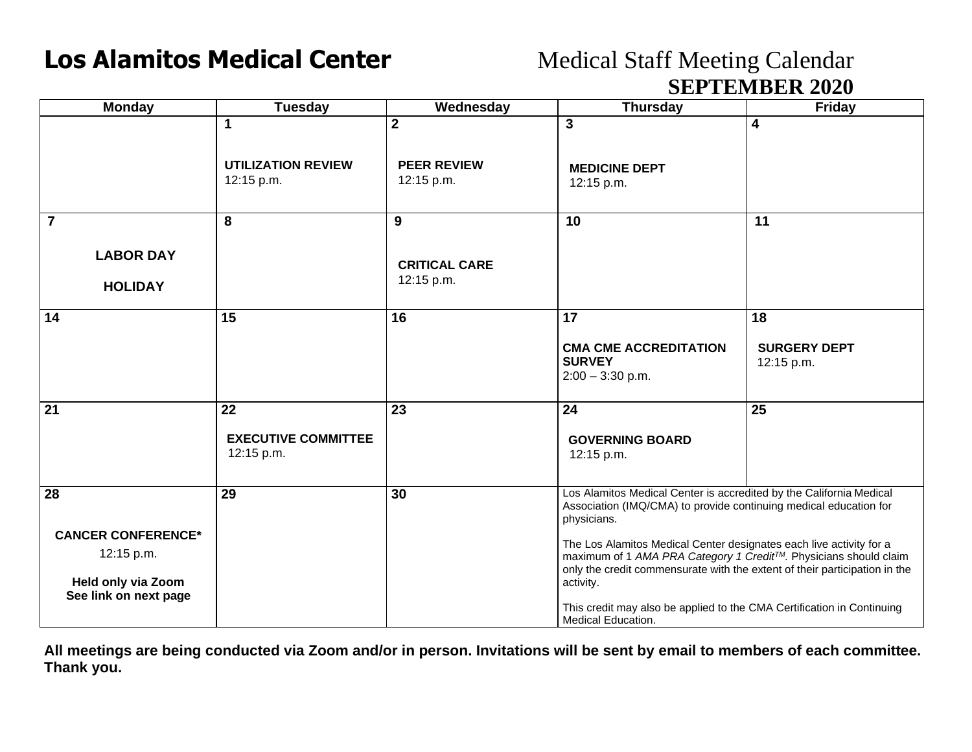## **Los Alamitos Medical Center** Medical Staff Meeting Calendar

## **SEPTEMBER 2020**

|                                                                      | ОШ ТЕЛІРЕК 2020                                |                                    |                                                                                                                                                                                                                                    |                                         |  |
|----------------------------------------------------------------------|------------------------------------------------|------------------------------------|------------------------------------------------------------------------------------------------------------------------------------------------------------------------------------------------------------------------------------|-----------------------------------------|--|
| <b>Monday</b>                                                        | Tuesday                                        | Wednesday                          | <b>Thursday</b>                                                                                                                                                                                                                    | Friday                                  |  |
|                                                                      | 1<br><b>UTILIZATION REVIEW</b>                 | $\mathbf 2$<br><b>PEER REVIEW</b>  | 3<br><b>MEDICINE DEPT</b>                                                                                                                                                                                                          | 4                                       |  |
|                                                                      | 12:15 p.m.                                     | 12:15 p.m.                         | 12:15 p.m.                                                                                                                                                                                                                         |                                         |  |
| $\overline{7}$                                                       | 8                                              | 9                                  | 10                                                                                                                                                                                                                                 | 11                                      |  |
| <b>LABOR DAY</b>                                                     |                                                | <b>CRITICAL CARE</b><br>12:15 p.m. |                                                                                                                                                                                                                                    |                                         |  |
| <b>HOLIDAY</b>                                                       |                                                |                                    |                                                                                                                                                                                                                                    |                                         |  |
| 14                                                                   | 15                                             | 16                                 | 17<br><b>CMA CME ACCREDITATION</b><br><b>SURVEY</b><br>$2:00 - 3:30$ p.m.                                                                                                                                                          | 18<br><b>SURGERY DEPT</b><br>12:15 p.m. |  |
| $\overline{21}$                                                      | 22<br><b>EXECUTIVE COMMITTEE</b><br>12:15 p.m. | 23                                 | $\overline{24}$<br><b>GOVERNING BOARD</b><br>12:15 p.m.                                                                                                                                                                            | $\overline{25}$                         |  |
| 28                                                                   | 29                                             | 30                                 | Los Alamitos Medical Center is accredited by the California Medical<br>Association (IMQ/CMA) to provide continuing medical education for<br>physicians.                                                                            |                                         |  |
| <b>CANCER CONFERENCE*</b><br>12:15 p.m.<br><b>Held only via Zoom</b> |                                                |                                    | The Los Alamitos Medical Center designates each live activity for a<br>maximum of 1 AMA PRA Category 1 Credit™. Physicians should claim<br>only the credit commensurate with the extent of their participation in the<br>activity. |                                         |  |
| See link on next page                                                |                                                |                                    | This credit may also be applied to the CMA Certification in Continuing<br>Medical Education.                                                                                                                                       |                                         |  |

**All meetings are being conducted via Zoom and/or in person. Invitations will be sent by email to members of each committee. Thank you.**